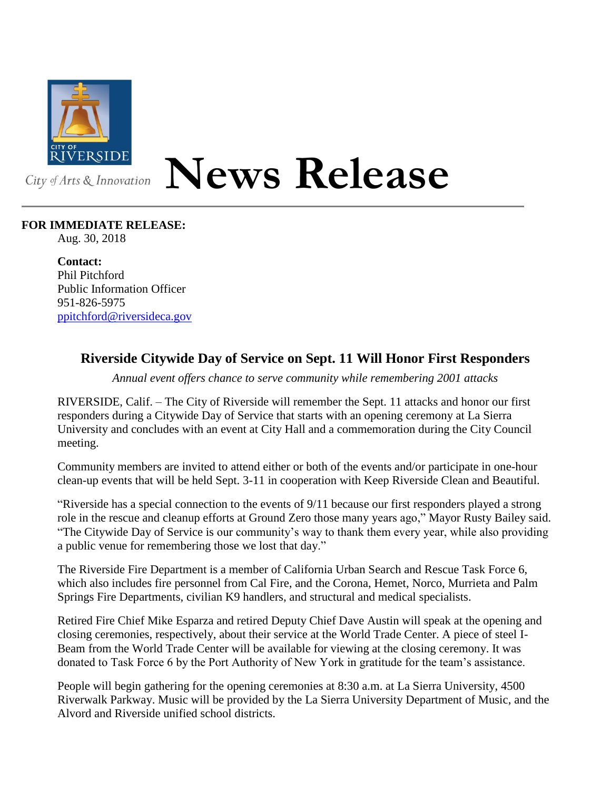

**News Release**

## **FOR IMMEDIATE RELEASE:**

Aug. 30, 2018

**Contact:** Phil Pitchford Public Information Officer 951-826-5975 [ppitchford@riversideca.gov](mailto:ppitchford@riversideca.gov)

## **Riverside Citywide Day of Service on Sept. 11 Will Honor First Responders**

*Annual event offers chance to serve community while remembering 2001 attacks*

RIVERSIDE, Calif. – The City of Riverside will remember the Sept. 11 attacks and honor our first responders during a Citywide Day of Service that starts with an opening ceremony at La Sierra University and concludes with an event at City Hall and a commemoration during the City Council meeting.

Community members are invited to attend either or both of the events and/or participate in one-hour clean-up events that will be held Sept. 3-11 in cooperation with Keep Riverside Clean and Beautiful.

"Riverside has a special connection to the events of 9/11 because our first responders played a strong role in the rescue and cleanup efforts at Ground Zero those many years ago," Mayor Rusty Bailey said. "The Citywide Day of Service is our community's way to thank them every year, while also providing a public venue for remembering those we lost that day."

The Riverside Fire Department is a member of California Urban Search and Rescue Task Force 6, which also includes fire personnel from Cal Fire, and the Corona, Hemet, Norco, Murrieta and Palm Springs Fire Departments, civilian K9 handlers, and structural and medical specialists.

Retired Fire Chief Mike Esparza and retired Deputy Chief Dave Austin will speak at the opening and closing ceremonies, respectively, about their service at the World Trade Center. A piece of steel I-Beam from the World Trade Center will be available for viewing at the closing ceremony. It was donated to Task Force 6 by the Port Authority of New York in gratitude for the team's assistance.

People will begin gathering for the opening ceremonies at 8:30 a.m. at La Sierra University, 4500 Riverwalk Parkway. Music will be provided by the La Sierra University Department of Music, and the Alvord and Riverside unified school districts.